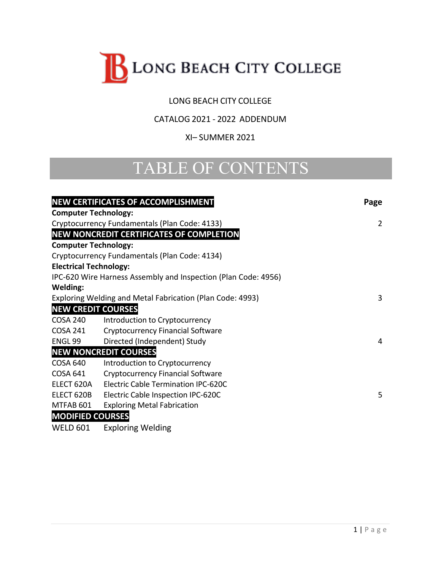

### LONG BEACH CITY COLLEGE

### CATALOG 2021 - 2022 ADDENDUM

#### XI– SUMMER 2021

# TABLE OF CONTENTS

| <b>NEW CERTIFICATES OF ACCOMPLISHMENT</b> |                                                                | Page |
|-------------------------------------------|----------------------------------------------------------------|------|
| <b>Computer Technology:</b>               |                                                                |      |
|                                           | Cryptocurrency Fundamentals (Plan Code: 4133)                  | 2    |
|                                           | <b>NEW NONCREDIT CERTIFICATES OF COMPLETION</b>                |      |
| <b>Computer Technology:</b>               |                                                                |      |
|                                           | Cryptocurrency Fundamentals (Plan Code: 4134)                  |      |
| <b>Electrical Technology:</b>             |                                                                |      |
|                                           | IPC-620 Wire Harness Assembly and Inspection (Plan Code: 4956) |      |
| <b>Welding:</b>                           |                                                                |      |
|                                           | Exploring Welding and Metal Fabrication (Plan Code: 4993)      | 3    |
| <b>NEW CREDIT COURSES</b>                 |                                                                |      |
| <b>COSA 240</b>                           | Introduction to Cryptocurrency                                 |      |
| <b>COSA 241</b>                           | <b>Cryptocurrency Financial Software</b>                       |      |
| ENGL 99                                   | Directed (Independent) Study                                   | 4    |
|                                           | <b>NEW NONCREDIT COURSES</b>                                   |      |
| <b>COSA 640</b>                           | Introduction to Cryptocurrency                                 |      |
| <b>COSA 641</b>                           | <b>Cryptocurrency Financial Software</b>                       |      |
| ELECT 620A                                | <b>Electric Cable Termination IPC-620C</b>                     |      |
| ELECT 620B                                | Electric Cable Inspection IPC-620C                             | 5    |
| MTFAB 601                                 | <b>Exploring Metal Fabrication</b>                             |      |
| <b>MODIFIED COURSES</b>                   |                                                                |      |
| <b>WELD 601</b>                           | <b>Exploring Welding</b>                                       |      |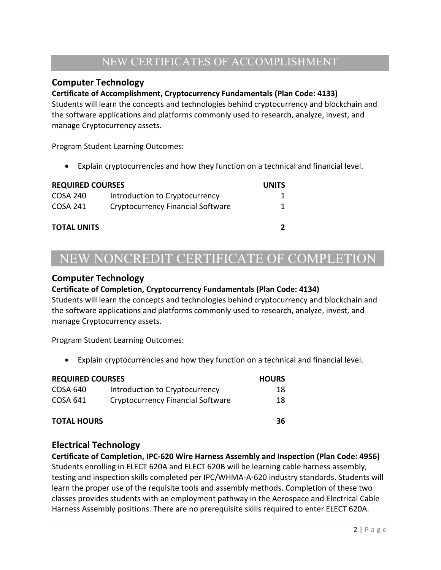## NEW CERTIFICATES OF ACCOMPLISHMENT

### **Computer Technology**

#### **Certificate of Accomplishment, Cryptocurrency Fundamentals (Plan Code: 4133)**

Students will learn the concepts and technologies behind cryptocurrency and blockchain and the software applications and platforms commonly used to research, analyze, invest, and manage Cryptocurrency assets.

Program Student Learning Outcomes:

• Explain cryptocurrencies and how they function on a technical and financial level.

#### **REQUIRED COURSES UNITS**

| ILL QUIILD COUITS  |                                   | . |
|--------------------|-----------------------------------|---|
| COSA 240           | Introduction to Cryptocurrency    |   |
| COSA 241           | Cryptocurrency Financial Software |   |
| <b>TOTAL UNITS</b> |                                   |   |

# NEW NONCREDIT CERTIFICATE OF COMPLETION

#### **Computer Technology**

#### **Certificate of Completion, Cryptocurrency Fundamentals (Plan Code: 4134)**

Students will learn the concepts and technologies behind cryptocurrency and blockchain and the software applications and platforms commonly used to research, analyze, invest, and manage Cryptocurrency assets.

Program Student Learning Outcomes:

• Explain cryptocurrencies and how they function on a technical and financial level.

| <b>REQUIRED COURSES</b> |                                          | <b>HOURS</b> |
|-------------------------|------------------------------------------|--------------|
| COSA 640                | Introduction to Cryptocurrency           | 18           |
| COSA 641                | <b>Cryptocurrency Financial Software</b> | 18           |
| <b>TOTAL HOURS</b>      |                                          | 36           |

#### **Electrical Technology**

**Certificate of Completion, IPC-620 Wire Harness Assembly and Inspection (Plan Code: 4956)** Students enrolling in ELECT 620A and ELECT 620B will be learning cable harness assembly, testing and inspection skills completed per IPC/WHMA-A-620 industry standards. Students will learn the proper use of the requisite tools and assembly methods. Completion of these two classes provides students with an employment pathway in the Aerospace and Electrical Cable Harness Assembly positions. There are no prerequisite skills required to enter ELECT 620A.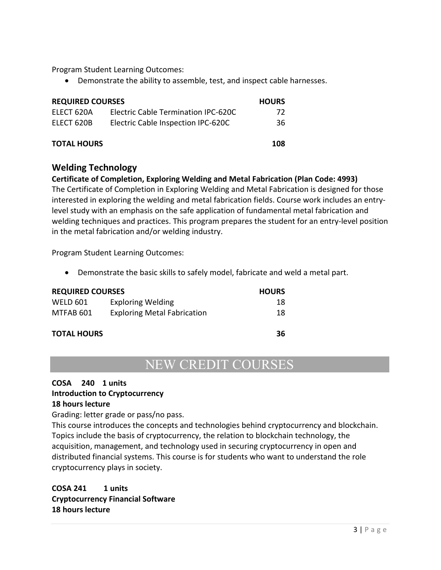Program Student Learning Outcomes:

• Demonstrate the ability to assemble, test, and inspect cable harnesses.

| <b>REQUIRED COURSES</b> |                                     | <b>HOURS</b> |
|-------------------------|-------------------------------------|--------------|
| ELECT 620A              | Electric Cable Termination IPC-620C | 72           |
| ELECT 620B              | Electric Cable Inspection IPC-620C  | 36           |
| <b>TOTAL HOURS</b>      |                                     | 108          |

#### **Welding Technology**

**Certificate of Completion, Exploring Welding and Metal Fabrication (Plan Code: 4993)** The Certificate of Completion in Exploring Welding and Metal Fabrication is designed for those interested in exploring the welding and metal fabrication fields. Course work includes an entrylevel study with an emphasis on the safe application of fundamental metal fabrication and welding techniques and practices. This program prepares the student for an entry-level position in the metal fabrication and/or welding industry.

Program Student Learning Outcomes:

• Demonstrate the basic skills to safely model, fabricate and weld a metal part.

| <b>REQUIRED COURSES</b> | <b>HOURS</b>                       |    |
|-------------------------|------------------------------------|----|
| WELD 601                | <b>Exploring Welding</b>           | 18 |
| MTFAB 601               | <b>Exploring Metal Fabrication</b> | 18 |
| <b>TOTAL HOURS</b>      |                                    |    |

# NEW CREDIT COURSES

#### **COSA 240 1 units**

#### **Introduction to Cryptocurrency**

#### **18 hours lecture**

Grading: letter grade or pass/no pass.

This course introduces the concepts and technologies behind cryptocurrency and blockchain. Topics include the basis of cryptocurrency, the relation to blockchain technology, the acquisition, management, and technology used in securing cryptocurrency in open and distributed financial systems. This course is for students who want to understand the role cryptocurrency plays in society.

#### **COSA 241 1 units Cryptocurrency Financial Software 18 hours lecture**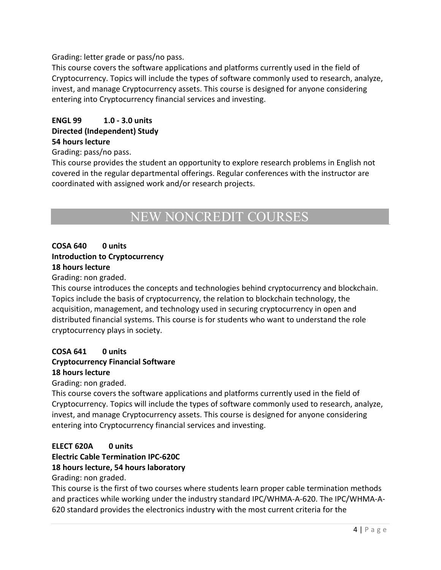Grading: letter grade or pass/no pass.

This course covers the software applications and platforms currently used in the field of Cryptocurrency. Topics will include the types of software commonly used to research, analyze, invest, and manage Cryptocurrency assets. This course is designed for anyone considering entering into Cryptocurrency financial services and investing.

#### **ENGL 99 1.0 - 3.0 units Directed (Independent) Study 54 hours lecture**

Grading: pass/no pass.

This course provides the student an opportunity to explore research problems in English not covered in the regular departmental offerings. Regular conferences with the instructor are coordinated with assigned work and/or research projects.

# NEW NONCREDIT COURSES

#### **COSA 640 0 units Introduction to Cryptocurrency 18 hours lecture**

Grading: non graded.

This course introduces the concepts and technologies behind cryptocurrency and blockchain. Topics include the basis of cryptocurrency, the relation to blockchain technology, the acquisition, management, and technology used in securing cryptocurrency in open and distributed financial systems. This course is for students who want to understand the role cryptocurrency plays in society.

#### **COSA 641 0 units**

#### **Cryptocurrency Financial Software 18 hours lecture**

Grading: non graded.

This course covers the software applications and platforms currently used in the field of Cryptocurrency. Topics will include the types of software commonly used to research, analyze, invest, and manage Cryptocurrency assets. This course is designed for anyone considering entering into Cryptocurrency financial services and investing.

#### **ELECT 620A 0 units**

#### **Electric Cable Termination IPC-620C**

#### **18 hours lecture, 54 hours laboratory**

Grading: non graded.

This course is the first of two courses where students learn proper cable termination methods and practices while working under the industry standard IPC/WHMA-A-620. The IPC/WHMA-A-620 standard provides the electronics industry with the most current criteria for the